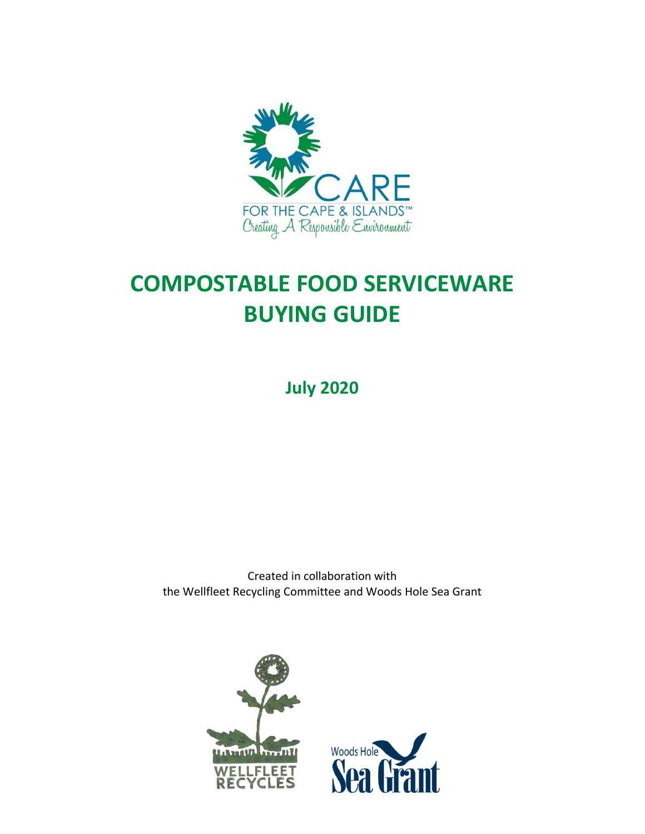

# **COMPOSTABLE FOOD SERVICEWARE BUYING GUIDE**

**July 2020**

Created in collaboration with the Wellfleet Recycling Committee and Woods Hole Sea Grant

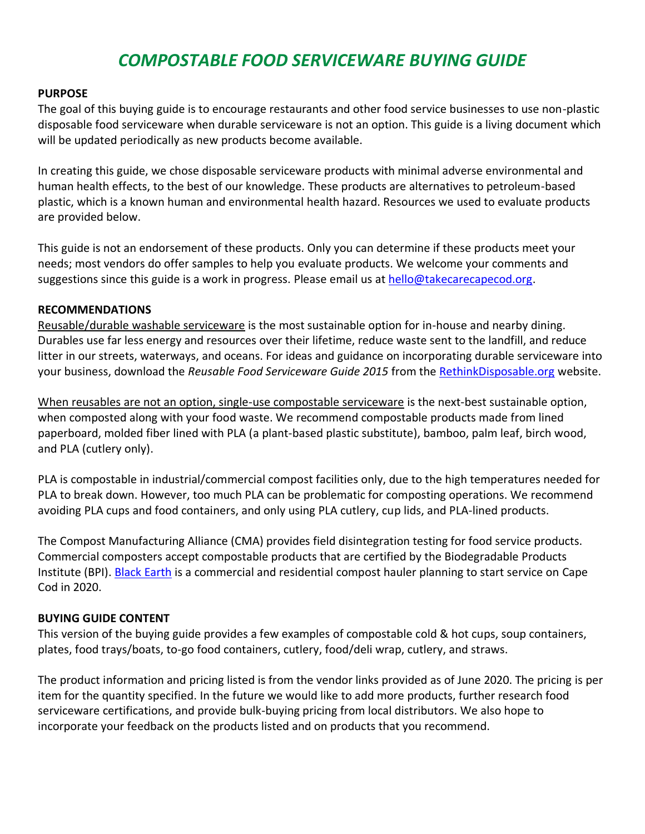# *COMPOSTABLE FOOD SERVICEWARE BUYING GUIDE*

# **PURPOSE**

The goal of this buying guide is to encourage restaurants and other food service businesses to use non-plastic disposable food serviceware when durable serviceware is not an option. This guide is a living document which will be updated periodically as new products become available.

In creating this guide, we chose disposable serviceware products with minimal adverse environmental and human health effects, to the best of our knowledge. These products are alternatives to petroleum-based plastic, which is a known human and environmental health hazard. Resources we used to evaluate products are provided below.

This guide is not an endorsement of these products. Only you can determine if these products meet your needs; most vendors do offer samples to help you evaluate products. We welcome your comments and suggestions since this guide is a work in progress. Please email us a[t hello@takecarecapecod.org.](mailto:hello@takecarecapecod.org?subject=Purchasing%20Guide)

# **RECOMMENDATIONS**

Reusable/durable washable serviceware is the most sustainable option for in-house and nearby dining. Durables use far less energy and resources over their lifetime, reduce waste sent to the landfill, and reduce litter in our streets, waterways, and oceans. For ideas and guidance on incorporating durable serviceware into your business, download the *Reusable Food Serviceware Guide 2015* from the [RethinkDisposable.org](https://www.rethinkdisposable.org/resources) website.

When reusables are not an option, single-use compostable serviceware is the next-best sustainable option, when composted along with your food waste. We recommend compostable products made from lined paperboard, molded fiber lined with PLA (a plant-based plastic substitute), bamboo, palm leaf, birch wood, and PLA (cutlery only).

PLA is compostable in industrial/commercial compost facilities only, due to the high temperatures needed for PLA to break down. However, too much PLA can be problematic for composting operations. We recommend avoiding PLA cups and food containers, and only using PLA cutlery, cup lids, and PLA-lined products.

The Compost Manufacturing Alliance (CMA) provides field disintegration testing for food service products. Commercial composters accept compostable products that are certified by the Biodegradable Products Institute (BPI). **Black Earth** is a commercial and residential compost hauler planning to start service on Cape Cod in 2020.

# **BUYING GUIDE CONTENT**

This version of the buying guide provides a few examples of compostable cold & hot cups, soup containers, plates, food trays/boats, to-go food containers, cutlery, food/deli wrap, cutlery, and straws.

The product information and pricing listed is from the vendor links provided as of June 2020. The pricing is per item for the quantity specified. In the future we would like to add more products, further research food serviceware certifications, and provide bulk-buying pricing from local distributors. We also hope to incorporate your feedback on the products listed and on products that you recommend.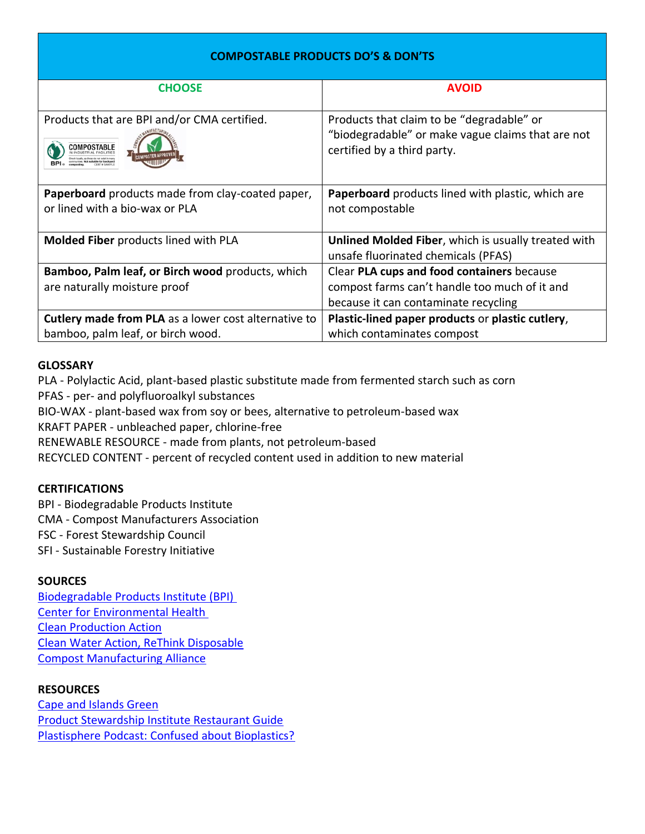# **COMPOSTABLE PRODUCTS DO'S & DON'TS**

| <b>CHOOSE</b>                                                                             | <b>AVOID</b>                                                                                                                        |
|-------------------------------------------------------------------------------------------|-------------------------------------------------------------------------------------------------------------------------------------|
| Products that are BPI and/or CMA certified.                                               | Products that claim to be "degradable" or<br>"biodegradable" or make vague claims that are not<br>certified by a third party.       |
| Paperboard products made from clay-coated paper,<br>or lined with a bio-wax or PLA        | Paperboard products lined with plastic, which are<br>not compostable                                                                |
| Molded Fiber products lined with PLA                                                      | Unlined Molded Fiber, which is usually treated with<br>unsafe fluorinated chemicals (PFAS)                                          |
| Bamboo, Palm leaf, or Birch wood products, which<br>are naturally moisture proof          | Clear PLA cups and food containers because<br>compost farms can't handle too much of it and<br>because it can contaminate recycling |
| Cutlery made from PLA as a lower cost alternative to<br>bamboo, palm leaf, or birch wood. | Plastic-lined paper products or plastic cutlery,<br>which contaminates compost                                                      |

#### **GLOSSARY**

PLA - Polylactic Acid, plant-based plastic substitute made from fermented starch such as corn PFAS - per- and polyfluoroalkyl substances

BIO-WAX - plant-based wax from soy or bees, alternative to petroleum-based wax

KRAFT PAPER - unbleached paper, chlorine-free

RENEWABLE RESOURCE - made from plants, not petroleum-based

RECYCLED CONTENT - percent of recycled content used in addition to new material

# **CERTIFICATIONS**

BPI - Biodegradable Products Institute CMA - Compost Manufacturers Association FSC - Forest Stewardship Council SFI - Sustainable Forestry Initiative

# **SOURCES**

[Biodegradable Products Institute \(BPI\)](https://bpiworld.org/) [Center for Environmental Health](https://www.ceh.org/) [Clean Production Action](https://www.cleanproduction.org/) [Clean Water Action, ReThink Disposable](https://www.rethinkdisposable.org/) [Compost Manufacturing Alliance](https://compostmanufacturingalliance.com/)

# **RESOURCES**

[Cape and Islands Green](https://capecdp.org/sustainable-future/cape-island-green) [Product Stewardship Institute Restaurant Guide](https://www.productstewardship.us/page/RestaurantGuide) [Plastisphere Podcast: Confused about Bioplastics?](https://anjakrieger.com/plastisphere/category/transcript/page/3/)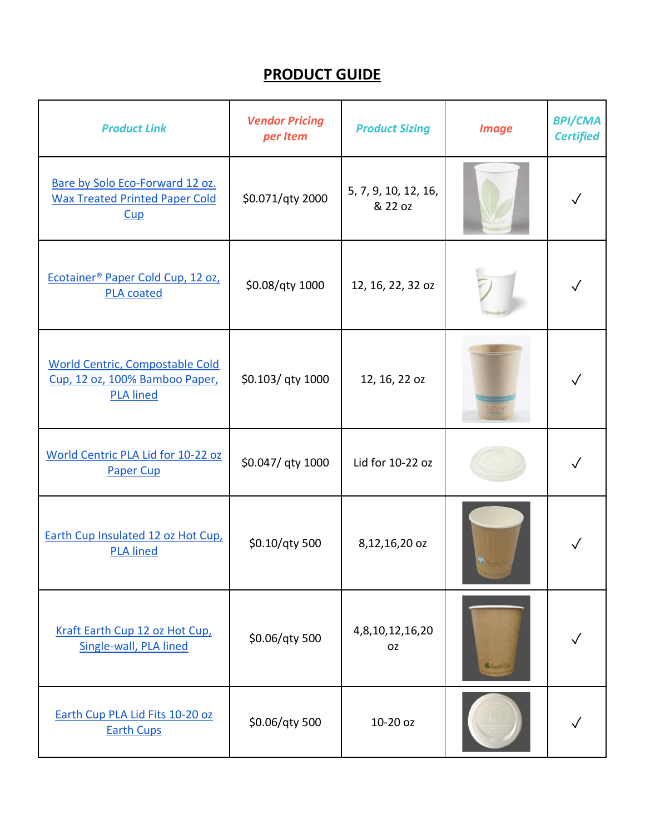# **PRODUCT GUIDE**

| <b>Product Link</b>                                                                          | <b>Vendor Pricing</b><br>per Item | <b>Product Sizing</b>           | <b>Image</b>         | <b>BPI/CMA</b><br><b>Certified</b> |
|----------------------------------------------------------------------------------------------|-----------------------------------|---------------------------------|----------------------|------------------------------------|
| Bare by Solo Eco-Forward 12 oz.<br><b>Wax Treated Printed Paper Cold</b><br>Cup              | \$0.071/qty 2000                  | 5, 7, 9, 10, 12, 16,<br>& 22 oz |                      |                                    |
| Ecotainer <sup>®</sup> Paper Cold Cup, 12 oz,<br><b>PLA coated</b>                           | \$0.08/qty 1000                   | 12, 16, 22, 32 oz               |                      |                                    |
| <b>World Centric, Compostable Cold</b><br>Cup, 12 oz, 100% Bamboo Paper,<br><b>PLA lined</b> | \$0.103/ qty 1000                 | 12, 16, 22 oz                   |                      |                                    |
| World Centric PLA Lid for 10-22 oz<br><b>Paper Cup</b>                                       | \$0.047/ qty 1000                 | Lid for 10-22 oz                |                      |                                    |
| Earth Cup Insulated 12 oz Hot Cup,<br><b>PLA lined</b>                                       | \$0.10/qty 500                    | 8,12,16,20 oz                   |                      |                                    |
| Kraft Earth Cup 12 oz Hot Cup,<br>Single-wall, PLA lined                                     | \$0.06/qty 500                    | 4,8,10,12,16,20<br><b>OZ</b>    | <b>B. Santo City</b> |                                    |
| Earth Cup PLA Lid Fits 10-20 oz<br><b>Earth Cups</b>                                         | \$0.06/qty 500                    | 10-20 oz                        |                      |                                    |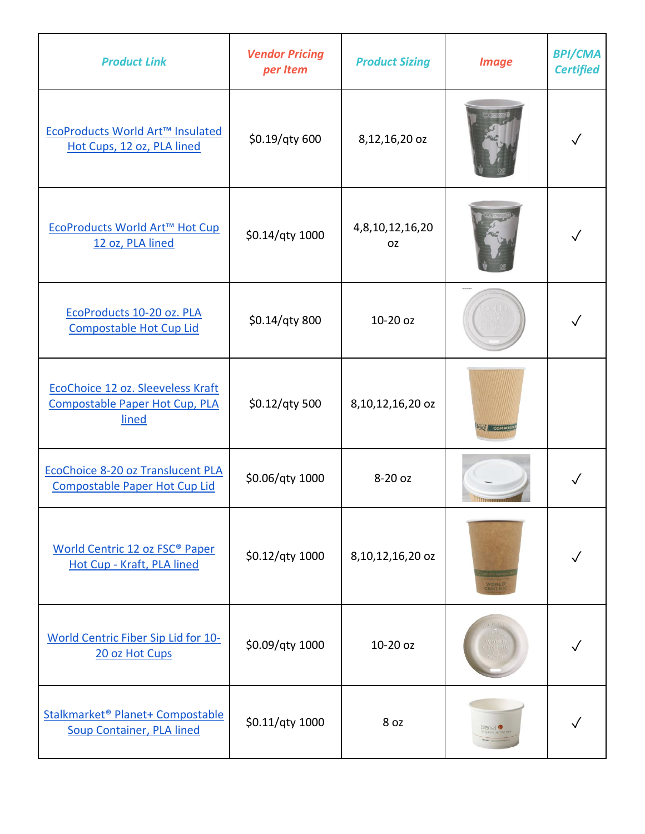| <b>Product Link</b>                                                          | <b>Vendor Pricing</b><br>per Item | <b>Product Sizing</b>        | <b>Image</b> | <b>BPI/CMA</b><br><b>Certified</b> |
|------------------------------------------------------------------------------|-----------------------------------|------------------------------|--------------|------------------------------------|
| EcoProducts World Art™ Insulated<br>Hot Cups, 12 oz, PLA lined               | \$0.19/qty 600                    | 8,12,16,20 oz                |              |                                    |
| EcoProducts World Art™ Hot Cup<br>12 oz, PLA lined                           | \$0.14/qty 1000                   | 4,8,10,12,16,20<br><b>OZ</b> |              |                                    |
| EcoProducts 10-20 oz. PLA<br>Compostable Hot Cup Lid                         | \$0.14/qty 800                    | 10-20 oz                     |              |                                    |
| EcoChoice 12 oz. Sleeveless Kraft<br>Compostable Paper Hot Cup, PLA<br>lined | \$0.12/qty 500                    | 8,10,12,16,20 oz             |              |                                    |
| EcoChoice 8-20 oz Translucent PLA<br>Compostable Paper Hot Cup Lid           | \$0.06/qty 1000                   | 8-20 oz                      |              |                                    |
| World Centric 12 oz FSC <sup>®</sup> Paper<br>Hot Cup - Kraft, PLA lined     | \$0.12/qty 1000                   | 8,10,12,16,20 oz             |              |                                    |
| World Centric Fiber Sip Lid for 10-<br>20 oz Hot Cups                        | \$0.09/qty 1000                   | 10-20 oz                     |              |                                    |
| Stalkmarket® Planet+ Compostable<br><b>Soup Container, PLA lined</b>         | \$0.11/qty 1000                   | 8 oz                         |              |                                    |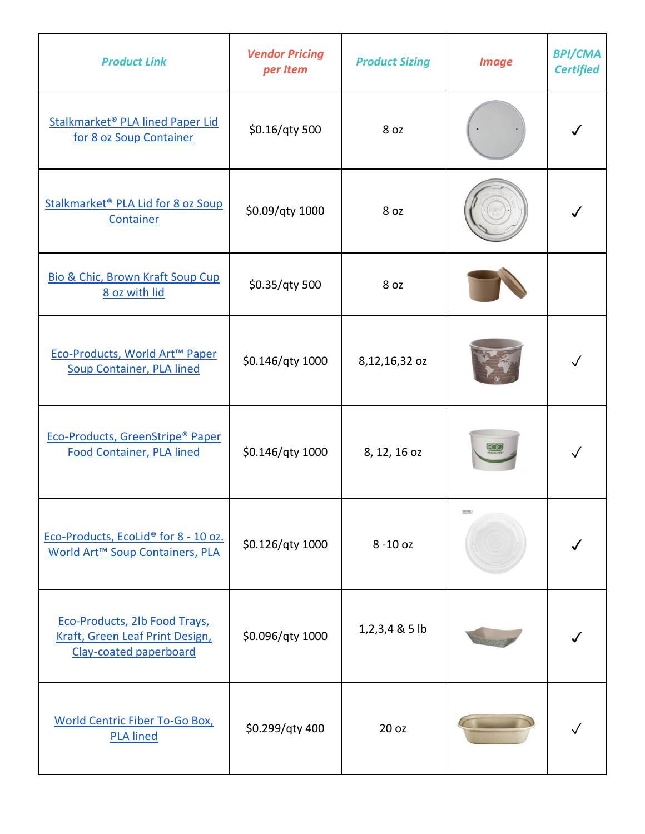| <b>Product Link</b>                                                                             | <b>Vendor Pricing</b><br>per Item | <b>Product Sizing</b> | <b>Image</b> | <b>BPI/CMA</b><br><b>Certified</b> |
|-------------------------------------------------------------------------------------------------|-----------------------------------|-----------------------|--------------|------------------------------------|
| Stalkmarket <sup>®</sup> PLA lined Paper Lid<br>for 8 oz Soup Container                         | \$0.16/qty 500                    | 8 oz                  |              |                                    |
| Stalkmarket <sup>®</sup> PLA Lid for 8 oz Soup<br>Container                                     | \$0.09/qty 1000                   | 8 oz                  |              |                                    |
| Bio & Chic, Brown Kraft Soup Cup<br>8 oz with lid                                               | \$0.35/qty 500                    | 8 oz                  |              |                                    |
| Eco-Products, World Art™ Paper<br><b>Soup Container, PLA lined</b>                              | \$0.146/qty 1000                  | 8,12,16,32 oz         |              |                                    |
| Eco-Products, GreenStripe® Paper<br><b>Food Container, PLA lined</b>                            | \$0.146/qty 1000                  | 8, 12, 16 oz          |              |                                    |
| Eco-Products, EcoLid <sup>®</sup> for 8 - 10 oz.<br>World Art <sup>™</sup> Soup Containers, PLA | \$0.126/qty 1000                  | 8-10 oz               | ENEWABLI     |                                    |
| Eco-Products, 2lb Food Trays,<br>Kraft, Green Leaf Print Design,<br>Clay-coated paperboard      | \$0.096/qty 1000                  | $1,2,3,4$ & 5 lb      |              |                                    |
| <b>World Centric Fiber To-Go Box,</b><br><b>PLA lined</b>                                       | \$0.299/qty 400                   | 20 <sub>oz</sub>      |              |                                    |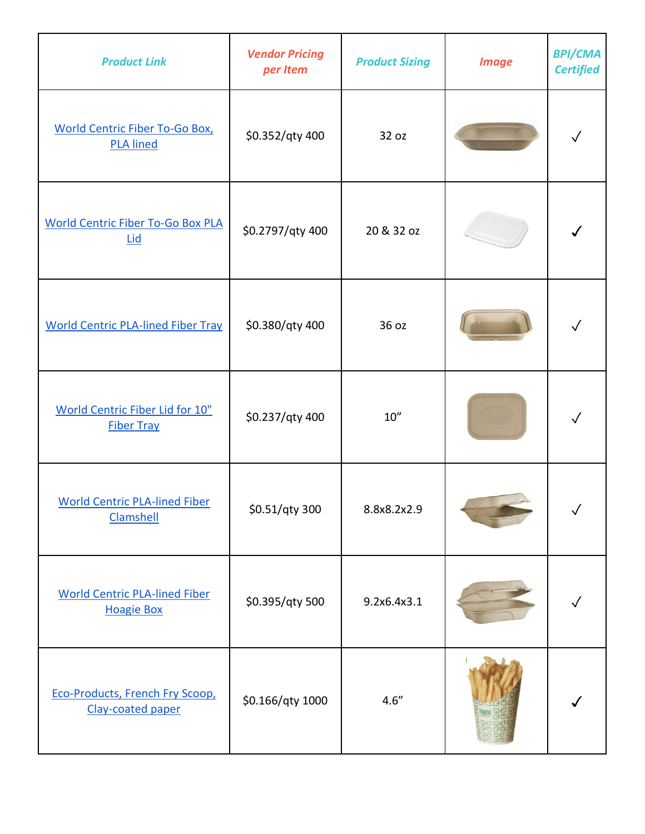| <b>Product Link</b>                                         | <b>Vendor Pricing</b><br>per Item | <b>Product Sizing</b> | <b>Image</b> | <b>BPI/CMA</b><br><b>Certified</b> |
|-------------------------------------------------------------|-----------------------------------|-----------------------|--------------|------------------------------------|
| <b>World Centric Fiber To-Go Box,</b><br><b>PLA lined</b>   | \$0.352/qty 400                   | 32 oz                 |              |                                    |
| <b>World Centric Fiber To-Go Box PLA</b><br><b>Lid</b>      | \$0.2797/qty 400                  | 20 & 32 oz            |              |                                    |
| <b>World Centric PLA-lined Fiber Tray</b>                   | \$0.380/qty 400                   | 36 oz                 |              |                                    |
| <b>World Centric Fiber Lid for 10"</b><br><b>Fiber Tray</b> | \$0.237/qty 400                   | 10''                  |              |                                    |
| <b>World Centric PLA-lined Fiber</b><br><b>Clamshell</b>    | \$0.51/qty 300                    | 8.8x8.2x2.9           |              |                                    |
| <b>World Centric PLA-lined Fiber</b><br><b>Hoagie Box</b>   | \$0.395/qty 500                   | 9.2x6.4x3.1           |              |                                    |
| <b>Eco-Products, French Fry Scoop,</b><br>Clay-coated paper | \$0.166/qty 1000                  | 4.6''                 |              |                                    |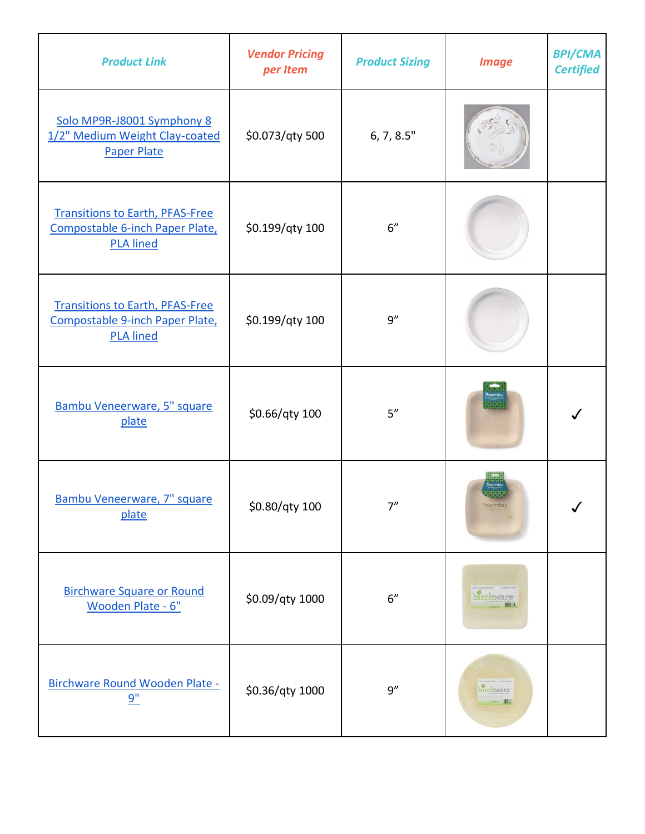| <b>Product Link</b>                                                                           | <b>Vendor Pricing</b><br>per Item | <b>Product Sizing</b> | <b>Image</b>         | <b>BPI/CMA</b><br><b>Certified</b> |
|-----------------------------------------------------------------------------------------------|-----------------------------------|-----------------------|----------------------|------------------------------------|
| Solo MP9R-J8001 Symphony 8<br>1/2" Medium Weight Clay-coated<br><b>Paper Plate</b>            | \$0.073/qty 500                   | 6, 7, 8.5"            |                      |                                    |
| <b>Transitions to Earth, PFAS-Free</b><br>Compostable 6-inch Paper Plate,<br><b>PLA lined</b> | \$0.199/qty 100                   | 6"                    |                      |                                    |
| <b>Transitions to Earth, PFAS-Free</b><br>Compostable 9-inch Paper Plate,<br><b>PLA lined</b> | \$0.199/qty 100                   | 9''                   |                      |                                    |
| Bambu Veneerware, 5" square<br>plate                                                          | \$0.66/qty 100                    | 5''                   |                      |                                    |
| Bambu Veneerware, 7" square<br>plate                                                          | \$0.80/qty 100                    | 7''                   | <b>DOLLION</b>       | ✓                                  |
| <b>Birchware Square or Round</b><br>Wooden Plate - 6"                                         | \$0.09/qty 1000                   | 6''                   | birchware<br>1910-19 |                                    |
| Birchware Round Wooden Plate -<br>9"                                                          | \$0.36/qty 1000                   | 9''                   | birchware            |                                    |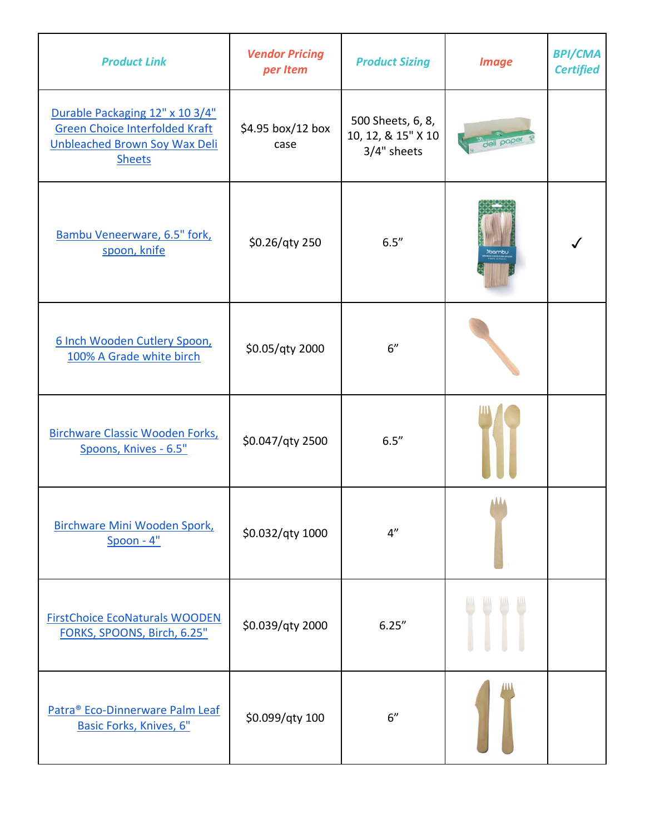| <b>Product Link</b>                                                                                                        | <b>Vendor Pricing</b><br>per Item | <b>Product Sizing</b>                                  | <b>Image</b> | <b>BPI/CMA</b><br><b>Certified</b> |
|----------------------------------------------------------------------------------------------------------------------------|-----------------------------------|--------------------------------------------------------|--------------|------------------------------------|
| Durable Packaging 12" x 10 3/4"<br><b>Green Choice Interfolded Kraft</b><br>Unbleached Brown Soy Wax Deli<br><b>Sheets</b> | \$4.95 box/12 box<br>case         | 500 Sheets, 6, 8,<br>10, 12, & 15" X 10<br>3/4" sheets |              |                                    |
| Bambu Veneerware, 6.5" fork,<br>spoon, knife                                                                               | \$0.26/qty 250                    | 6.5''                                                  |              |                                    |
| 6 Inch Wooden Cutlery Spoon,<br>100% A Grade white birch                                                                   | \$0.05/qty 2000                   | 6"                                                     |              |                                    |
| Birchware Classic Wooden Forks,<br>Spoons, Knives - 6.5"                                                                   | \$0.047/qty 2500                  | 6.5''                                                  |              |                                    |
| Birchware Mini Wooden Spork,<br>$S$ poon - $4"$                                                                            | \$0.032/qty 1000                  | 4"                                                     | <b>AAA</b>   |                                    |
| <b>FirstChoice EcoNaturals WOODEN</b><br>FORKS, SPOONS, Birch, 6.25"                                                       | \$0.039/qty 2000                  | 6.25''                                                 |              |                                    |
| Patra® Eco-Dinnerware Palm Leaf<br>Basic Forks, Knives, 6"                                                                 | \$0.099/qty 100                   | 6"                                                     |              |                                    |